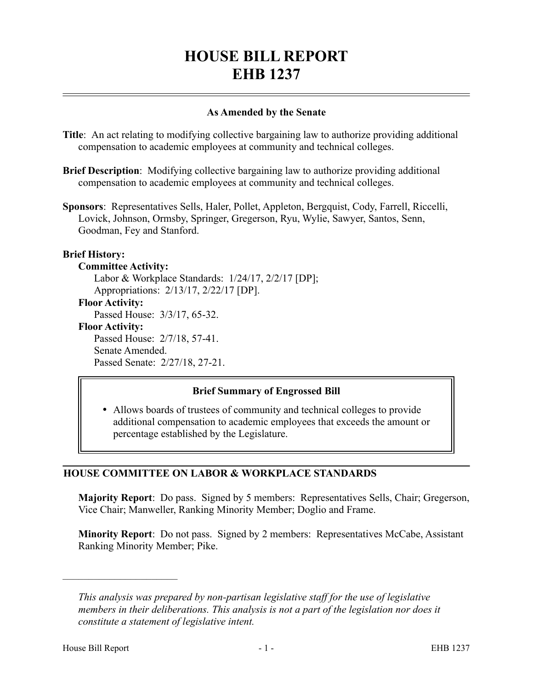# **HOUSE BILL REPORT EHB 1237**

## **As Amended by the Senate**

**Title**: An act relating to modifying collective bargaining law to authorize providing additional compensation to academic employees at community and technical colleges.

**Brief Description**: Modifying collective bargaining law to authorize providing additional compensation to academic employees at community and technical colleges.

**Sponsors**: Representatives Sells, Haler, Pollet, Appleton, Bergquist, Cody, Farrell, Riccelli, Lovick, Johnson, Ormsby, Springer, Gregerson, Ryu, Wylie, Sawyer, Santos, Senn, Goodman, Fey and Stanford.

## **Brief History:**

**Committee Activity:** Labor & Workplace Standards: 1/24/17, 2/2/17 [DP]; Appropriations: 2/13/17, 2/22/17 [DP]. **Floor Activity:** Passed House: 3/3/17, 65-32. **Floor Activity:** Passed House: 2/7/18, 57-41. Senate Amended. Passed Senate: 2/27/18, 27-21.

## **Brief Summary of Engrossed Bill**

 Allows boards of trustees of community and technical colleges to provide additional compensation to academic employees that exceeds the amount or percentage established by the Legislature.

## **HOUSE COMMITTEE ON LABOR & WORKPLACE STANDARDS**

**Majority Report**: Do pass. Signed by 5 members: Representatives Sells, Chair; Gregerson, Vice Chair; Manweller, Ranking Minority Member; Doglio and Frame.

**Minority Report:** Do not pass. Signed by 2 members: Representatives McCabe, Assistant Ranking Minority Member; Pike.

––––––––––––––––––––––

*This analysis was prepared by non-partisan legislative staff for the use of legislative members in their deliberations. This analysis is not a part of the legislation nor does it constitute a statement of legislative intent.*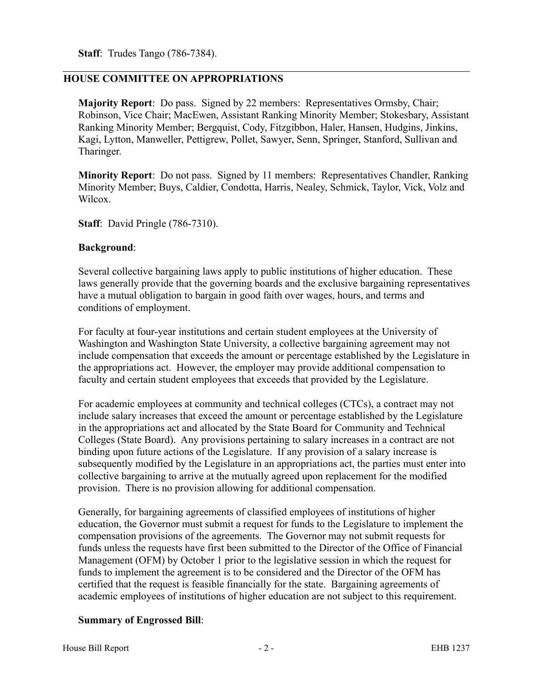**Staff**: Trudes Tango (786-7384).

# **HOUSE COMMITTEE ON APPROPRIATIONS**

**Majority Report**: Do pass. Signed by 22 members: Representatives Ormsby, Chair; Robinson, Vice Chair; MacEwen, Assistant Ranking Minority Member; Stokesbary, Assistant Ranking Minority Member; Bergquist, Cody, Fitzgibbon, Haler, Hansen, Hudgins, Jinkins, Kagi, Lytton, Manweller, Pettigrew, Pollet, Sawyer, Senn, Springer, Stanford, Sullivan and Tharinger.

**Minority Report**: Do not pass. Signed by 11 members: Representatives Chandler, Ranking Minority Member; Buys, Caldier, Condotta, Harris, Nealey, Schmick, Taylor, Vick, Volz and Wilcox.

**Staff**: David Pringle (786-7310).

#### **Background**:

Several collective bargaining laws apply to public institutions of higher education. These laws generally provide that the governing boards and the exclusive bargaining representatives have a mutual obligation to bargain in good faith over wages, hours, and terms and conditions of employment.

For faculty at four-year institutions and certain student employees at the University of Washington and Washington State University, a collective bargaining agreement may not include compensation that exceeds the amount or percentage established by the Legislature in the appropriations act. However, the employer may provide additional compensation to faculty and certain student employees that exceeds that provided by the Legislature.

For academic employees at community and technical colleges (CTCs), a contract may not include salary increases that exceed the amount or percentage established by the Legislature in the appropriations act and allocated by the State Board for Community and Technical Colleges (State Board). Any provisions pertaining to salary increases in a contract are not binding upon future actions of the Legislature. If any provision of a salary increase is subsequently modified by the Legislature in an appropriations act, the parties must enter into collective bargaining to arrive at the mutually agreed upon replacement for the modified provision. There is no provision allowing for additional compensation.

Generally, for bargaining agreements of classified employees of institutions of higher education, the Governor must submit a request for funds to the Legislature to implement the compensation provisions of the agreements. The Governor may not submit requests for funds unless the requests have first been submitted to the Director of the Office of Financial Management (OFM) by October 1 prior to the legislative session in which the request for funds to implement the agreement is to be considered and the Director of the OFM has certified that the request is feasible financially for the state. Bargaining agreements of academic employees of institutions of higher education are not subject to this requirement.

## **Summary of Engrossed Bill**: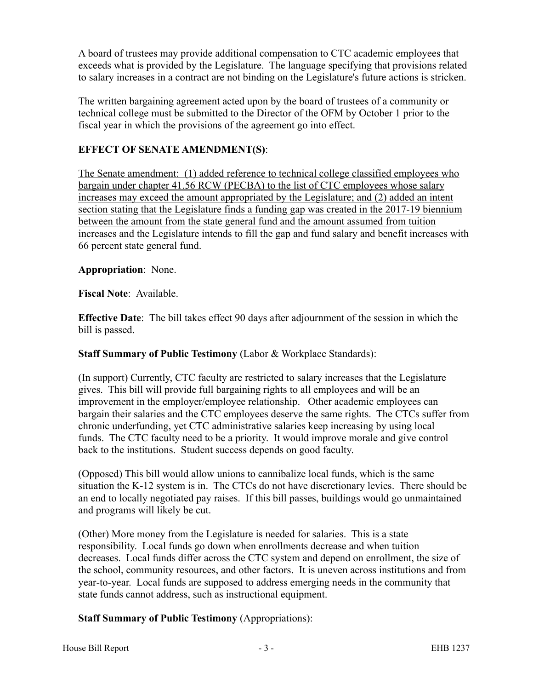A board of trustees may provide additional compensation to CTC academic employees that exceeds what is provided by the Legislature. The language specifying that provisions related to salary increases in a contract are not binding on the Legislature's future actions is stricken.

The written bargaining agreement acted upon by the board of trustees of a community or technical college must be submitted to the Director of the OFM by October 1 prior to the fiscal year in which the provisions of the agreement go into effect.

# **EFFECT OF SENATE AMENDMENT(S)**:

The Senate amendment: (1) added reference to technical college classified employees who bargain under chapter 41.56 RCW (PECBA) to the list of CTC employees whose salary increases may exceed the amount appropriated by the Legislature; and (2) added an intent section stating that the Legislature finds a funding gap was created in the 2017-19 biennium between the amount from the state general fund and the amount assumed from tuition increases and the Legislature intends to fill the gap and fund salary and benefit increases with 66 percent state general fund.

## **Appropriation**: None.

**Fiscal Note**: Available.

**Effective Date**: The bill takes effect 90 days after adjournment of the session in which the bill is passed.

**Staff Summary of Public Testimony** (Labor & Workplace Standards):

(In support) Currently, CTC faculty are restricted to salary increases that the Legislature gives. This bill will provide full bargaining rights to all employees and will be an improvement in the employer/employee relationship. Other academic employees can bargain their salaries and the CTC employees deserve the same rights. The CTCs suffer from chronic underfunding, yet CTC administrative salaries keep increasing by using local funds. The CTC faculty need to be a priority. It would improve morale and give control back to the institutions. Student success depends on good faculty.

(Opposed) This bill would allow unions to cannibalize local funds, which is the same situation the K-12 system is in. The CTCs do not have discretionary levies. There should be an end to locally negotiated pay raises. If this bill passes, buildings would go unmaintained and programs will likely be cut.

(Other) More money from the Legislature is needed for salaries. This is a state responsibility. Local funds go down when enrollments decrease and when tuition decreases. Local funds differ across the CTC system and depend on enrollment, the size of the school, community resources, and other factors. It is uneven across institutions and from year-to-year. Local funds are supposed to address emerging needs in the community that state funds cannot address, such as instructional equipment.

# **Staff Summary of Public Testimony** (Appropriations):